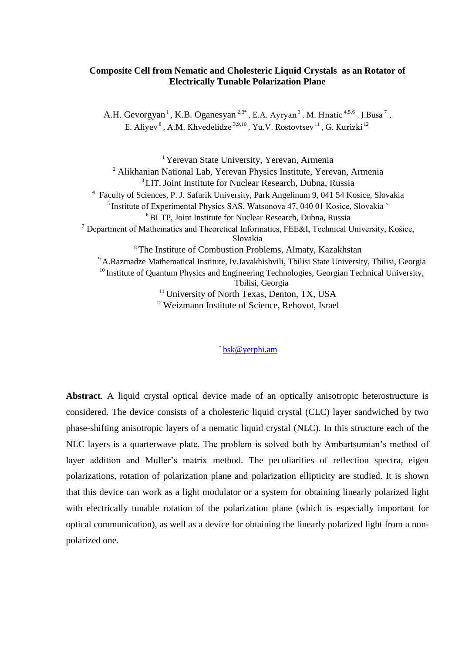# **Composite Cell from Nematic and Cholesteric Liquid Crystals as an Rotator of Electrically Tunable Polarization Plane**

A.H. Gevorgyan<sup>1</sup>, K.B. Oganesyan<sup>2,3\*</sup>, E.A. Ayryan<sup>3</sup>, M. Hnatic<sup>4,5,6</sup>, J.Busa<sup>7</sup>, E. Aliyev $^8$ , A.M. Khvedelidze $^{3,9,10}$ , Yu.V. Rostovtsev $^{11}$ , G. Kurizki $^{12}$ 

<sup>1</sup> Yerevan State University, Yerevan, Armenia <sup>2</sup> Alikhanian National Lab, Yerevan Physics Institute, Yerevan, Armenia <sup>3</sup> LIT, Joint Institute for Nuclear Research, Dubna, Russia 4 Faculty of Sciences, P. J. Safarik University, Park Angelinum 9, 041 54 Kosice, Slovakia <sup>5</sup> Institute of Experimental Physics SAS, Watsonova 47, 040 01 Kosice, Slovakia ~ 6 BLTP, Joint Institute for Nuclear Research, Dubna, Russia <sup>7</sup> Department of Mathematics and Theoretical Informatics, FEE&I, Technical University, Košice, Slovakia <sup>8</sup> The Institute of Combustion Problems, Almaty, Kazakhstan <sup>9</sup> A.Razmadze Mathematical Institute, Iv.Javakhishvili, Tbilisi State University, Tbilisi, Georgia <sup>10</sup> Institute of Quantum Physics and Engineering Technologies, Georgian Technical University, Tbilisi, Georgia <sup>11</sup> University of North Texas, Denton, TX, USA <sup>12</sup> Weizmann Institute of Science, Rehovot, Israel

## \* [bsk@yerphi.am](mailto:bsk@yerphi.am)

**Abstract**. A liquid crystal optical device made of an optically anisotropic heterostructure is considered. The device consists of a cholesteric liquid crystal (CLC) layer sandwiched by two phase-shifting anisotropic layers of a nematic liquid crystal (NLC). In this structure each of the NLC layers is a quarterwave plate. The problem is solved both by Ambartsumian's method of layer addition and Muller's matrix method. The peculiarities of reflection spectra, eigen polarizations, rotation of polarization plane and polarization ellipticity are studied. It is shown that this device can work as a light modulator or a system for obtaining linearly polarized light with electrically tunable rotation of the polarization plane (which is especially important for optical communication), as well as a device for obtaining the linearly polarized light from a nonpolarized one.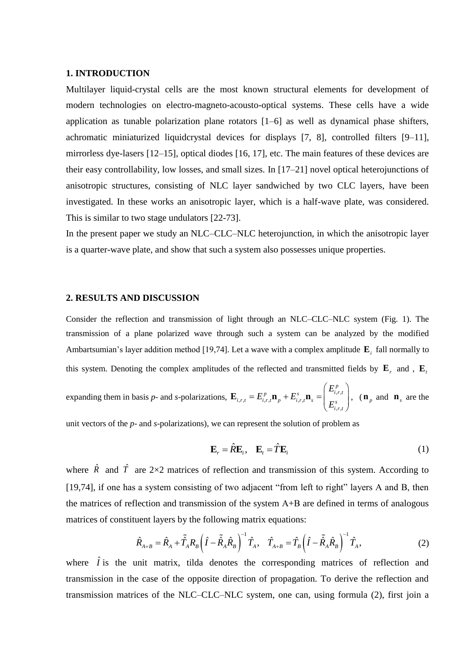## **1. INTRODUCTION**

Multilayer liquid-crystal cells are the most known structural elements for development of modern technologies on electro-magneto-acousto-optical systems. These cells have a wide application as tunable polarization plane rotators [1–6] as well as dynamical phase shifters, achromatic miniaturized liquidcrystal devices for displays [7, 8], controlled filters [9–11], mirrorless dye-lasers [12–15], optical diodes [16, 17], etc. The main features of these devices are their easy controllability, low losses, and small sizes. In [17–21] novel optical heterojunctions of anisotropic structures, consisting of NLC layer sandwiched by two CLC layers, have been investigated. In these works an anisotropic layer, which is a half-wave plate, was considered. This is similar to two stage undulators [22-73].

In the present paper we study an NLC–CLC–NLC heterojunction, in which the anisotropic layer is a quarter-wave plate, and show that such a system also possesses unique properties.

#### **2. RESULTS AND DISCUSSION**

Consider the reflection and transmission of light through an NLC–CLC–NLC system (Fig. 1). The transmission of a plane polarized wave through such a system can be analyzed by the modified Ambartsumian's layer addition method [19,74]. Let a wave with a complex amplitude  $\mathbf{E}_i$  fall normally to this system. Denoting the complex amplitudes of the reflected and transmitted fields by  $\mathbf{E}_r$  and ,  $\mathbf{E}_t$ 

expanding them in basis *p*- and *s*-polarizations,  $\mathbf{E}_{i,r,t} = E_{i,r,t}^p \mathbf{n}_r + E_{i,r,t}^s \mathbf{n}_s = \begin{bmatrix} E_{i,r,t}^p \end{bmatrix}$  $_{r,t} = E_{i,r,t}^{p} \mathbf{n}_{p} + E_{i,r,t}^{s}$ s<br>, r ,  $\sum_{i}^{p} \mathbf{n} + F^{s} \mathbf{n} - \left( \frac{E_{i,r,i}^{p}}{E_{i,r,i}^{p}} \right)$  $\mathbf{f}_{i,r,t} = E_{i,r,t}^p \mathbf{n}_p + E_{i,r,t}^s \mathbf{n}_s = \begin{bmatrix} 1, & 0 \\ 0, & 1 \end{bmatrix}$ *i r t*  $E_{i,r,t}^{\scriptscriptstyle{p}} \mathbf{n}_{\scriptscriptstyle{p}} + E_{i,r,t}^{\scriptscriptstyle{s}} \mathbf{n}_{\scriptscriptstyle{s}} = \notag \Bigg[ \frac{E}{E} \Bigg]$  $(E_{i,r,t}^p)$  $\mathbf{E}_{i,r,t} = E_{i,r,t}^p \mathbf{n}_p + E_{i,r,t}^s \mathbf{n}_s = \begin{pmatrix} E_{i,r,t}^p \\ E_{i,r,t}^s \end{pmatrix}$ ,  $(\mathbf{n}_p \text{ and } \mathbf{n}_s \text{ are the})$ 

unit vectors of the *p*- and *s*-polarizations), we can represent the solution of problem as

$$
\mathbf{E}_r = \hat{R}\mathbf{E}_i, \quad \mathbf{E}_t = \hat{T}\mathbf{E}_i
$$
 (1)

where  $\hat{R}$  and  $\hat{T}$  are 2×2 matrices of reflection and transmission of this system. According to [19,74], if one has a system consisting of two adjacent "from left to right" layers A and B, then the matrices of reflection and transmission of the system А+В are defined in terms of analogous

matrices of constituent layers by the following matrix equations:  
\n
$$
\hat{R}_{A+B} = \hat{R}_A + \tilde{\hat{T}}_A R_B \left( \hat{I} - \tilde{\hat{R}}_A \hat{R}_B \right)^{-1} \hat{T}_A, \quad \hat{T}_{A+B} = \hat{T}_B \left( \hat{I} - \tilde{\hat{R}}_A \hat{R}_B \right)^{-1} \hat{T}_A,
$$
\n(2)

where  $\hat{I}$  is the unit matrix, tilda denotes the corresponding matrices of reflection and transmission in the case of the opposite direction of propagation. To derive the reflection and transmission matrices of the NLC–CLC–NLC system, one can, using formula (2), first join a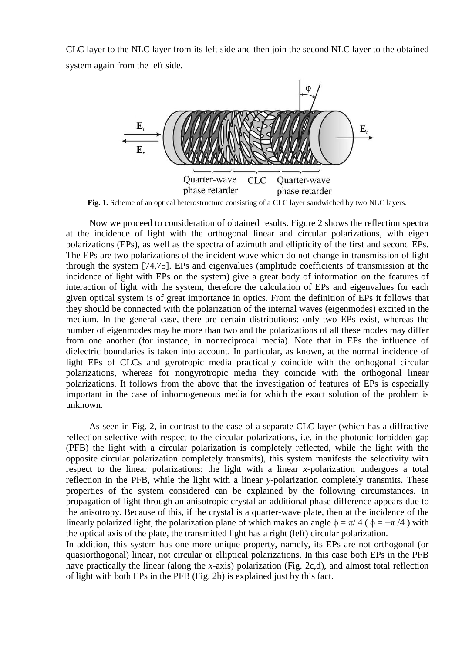CLC layer to the NLC layer from its left side and then join the second NLC layer to the obtained system again from the left side.



**Fig. 1.** Scheme of an optical heterostructure consisting of a CLC layer sandwiched by two NLC layers.

 Now we proceed to consideration of obtained results. Figure 2 shows the reflection spectra at the incidence of light with the orthogonal linear and circular polarizations, with eigen polarizations (EPs), as well as the spectra of azimuth and ellipticity of the first and second EPs. The EPs are two polarizations of the incident wave which do not change in transmission of light through the system [74,75]. EPs and eigenvalues (amplitude coefficients of transmission at the incidence of light with EPs on the system) give a great body of information on the features of interaction of light with the system, therefore the calculation of EPs and eigenvalues for each given optical system is of great importance in optics. From the definition of EPs it follows that they should be connected with the polarization of the internal waves (eigenmodes) excited in the medium. In the general case, there are certain distributions: only two EPs exist, whereas the number of eigenmodes may be more than two and the polarizations of all these modes may differ from one another (for instance, in nonreciprocal media). Note that in EPs the influence of dielectric boundaries is taken into account. In particular, as known, at the normal incidence of light EPs of CLCs and gyrotropic media practically coincide with the orthogonal circular polarizations, whereas for nongyrotropic media they coincide with the orthogonal linear polarizations. It follows from the above that the investigation of features of EPs is especially important in the case of inhomogeneous media for which the exact solution of the problem is unknown.

 As seen in Fig. 2, in contrast to the case of a separate CLC layer (which has a diffractive reflection selective with respect to the circular polarizations, i.e. in the photonic forbidden gap (PFB) the light with a circular polarization is completely reflected, while the light with the opposite circular polarization completely transmits), this system manifests the selectivity with respect to the linear polarizations: the light with a linear *x*-polarization undergoes a total reflection in the PFB, while the light with a linear *y*-polarization completely transmits. These properties of the system considered can be explained by the following circumstances. In propagation of light through an anisotropic crystal an additional phase difference appears due to the anisotropy. Because of this, if the crystal is a quarter-wave plate, then at the incidence of the linearly polarized light, the polarization plane of which makes an angle  $\phi = \pi/4$  ( $\phi = -\pi/4$ ) with the optical axis of the plate, the transmitted light has a right (left) circular polarization.

In addition, this system has one more unique property, namely, its EPs are not orthogonal (or quasiorthogonal) linear, not circular or elliptical polarizations. In this case both EPs in the PFB have practically the linear (along the *x*-axis) polarization (Fig. 2c,d), and almost total reflection of light with both EPs in the PFB (Fig. 2b) is explained just by this fact.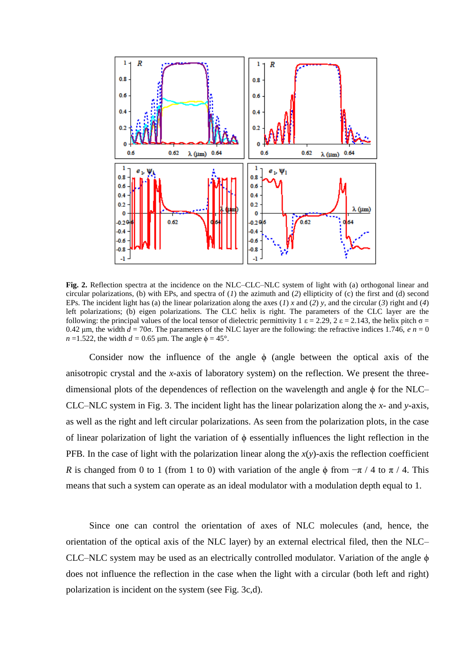

**Fig. 2.** Reflection spectra at the incidence on the NLC–CLC–NLC system of light with (a) orthogonal linear and circular polarizations, (b) with EPs, and spectra of  $(I)$  the azimuth and  $(2)$  ellipticity of  $(c)$  the first and  $(d)$  second EPs. The incident light has (a) the linear polarization along the axes (*1*) *x* and (*2*) *y*, and the circular (*3*) right and (*4*) left polarizations; (b) eigen polarizations. The CLC helix is right. The parameters of the CLC layer are the following: the principal values of the local tensor of dielectric permittivity 1  $\varepsilon = 2.29$ ,  $2 \varepsilon = 2.143$ , the helix pitch  $\sigma =$ 0.42 μm, the width  $\overline{d} = 70\sigma$ . The parameters of the NLC layer are the following: the refractive indices 1.746, *e n* = 0  $n = 1.522$ , the width  $d = 0.65$  µm. The angle  $\phi = 45^\circ$ .

Consider now the influence of the angle  $\phi$  (angle between the optical axis of the anisotropic crystal and the *x*-axis of laboratory system) on the reflection. We present the threedimensional plots of the dependences of reflection on the wavelength and angle ϕ for the NLC– CLC–NLC system in Fig. 3. The incident light has the linear polarization along the *x*- and *y*-axis, as well as the right and left circular polarizations. As seen from the polarization plots, in the case of linear polarization of light the variation of ϕ essentially influences the light reflection in the PFB. In the case of light with the polarization linear along the  $x(y)$ -axis the reflection coefficient *R* is changed from 0 to 1 (from 1 to 0) with variation of the angle  $\phi$  from  $-\pi$  / 4 to  $\pi$  / 4. This means that such a system can operate as an ideal modulator with a modulation depth equal to 1.

 Since one can control the orientation of axes of NLC molecules (and, hence, the orientation of the optical axis of the NLC layer) by an external electrical filed, then the NLC– CLC–NLC system may be used as an electrically controlled modulator. Variation of the angle ϕ does not influence the reflection in the case when the light with a circular (both left and right) polarization is incident on the system (see Fig. 3c,d).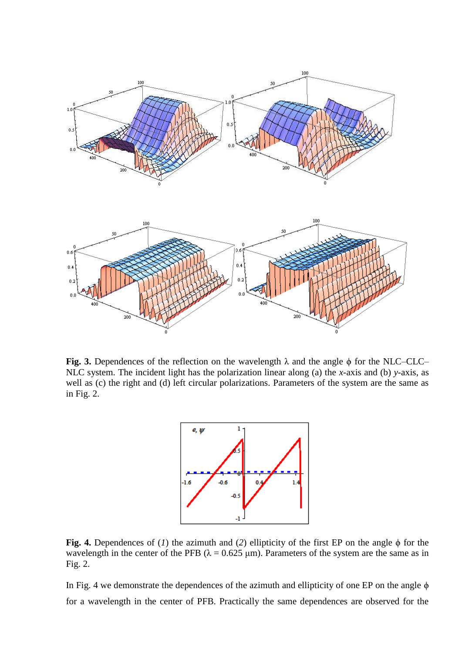

**Fig. 3.** Dependences of the reflection on the wavelength λ and the angle ϕ for the NLC–CLC– NLC system. The incident light has the polarization linear along (a) the *x*-axis and (b) *y*-axis, as well as (c) the right and (d) left circular polarizations. Parameters of the system are the same as in Fig. 2.



**Fig. 4.** Dependences of (*1*) the azimuth and (*2*) ellipticity of the first EP on the angle  $\phi$  for the wavelength in the center of the PFB ( $\lambda = 0.625 \mu m$ ). Parameters of the system are the same as in Fig. 2.

In Fig. 4 we demonstrate the dependences of the azimuth and ellipticity of one EP on the angle  $\phi$ for a wavelength in the center of PFB. Practically the same dependences are observed for the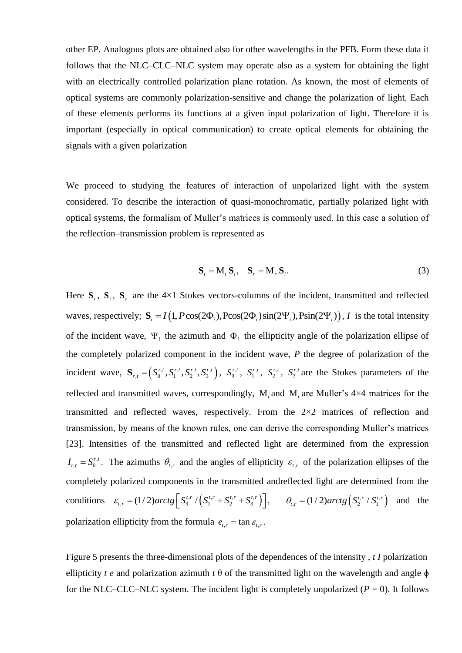other EP. Analogous plots are obtained also for other wavelengths in the PFB. Form these data it follows that the NLC–CLC–NLC system may operate also as a system for obtaining the light with an electrically controlled polarization plane rotation. As known, the most of elements of optical systems are commonly polarization-sensitive and change the polarization of light. Each of these elements performs its functions at a given input polarization of light. Therefore it is important (especially in optical communication) to create optical elements for obtaining the signals with a given polarization

We proceed to studying the features of interaction of unpolarized light with the system considered. To describe the interaction of quasi-monochromatic, partially polarized light with optical systems, the formalism of Muller's matrices is commonly used. In this case a solution of the reflection–transmission problem is represented as

$$
\mathbf{S}_{t} = \mathbf{M}_{t} \mathbf{S}_{i}, \quad \mathbf{S}_{r} = \mathbf{M}_{r} \mathbf{S}_{i}.
$$
 (3)

Here  $S_i$ ,  $S_i$ ,  $S_r$  are the 4×1 Stokes vectors-columns of the incident, transmitted and reflected Here  $\mathbf{S}_i$ ,  $\mathbf{S}_i$ ,  $\mathbf{S}_r$  are the 4×1 Stokes vectors-columns of the incident, transmitted and reflected waves, respectively;  $\mathbf{S}_i = I(1, P\cos(2\Phi_i), P\cos(2\Phi_i)\sin(2\Psi_i), P\sin(2\Psi_i))$ , *I* is the total intensity of the incident wave,  $\Psi_i$  the azimuth and  $\Phi_i$  the ellipticity angle of the polarization ellipse of the completely polarized component in the incident wave, *P* the degree of polarization of the incident wave,  $S_{r,t} = (S_0^{r,t}, S_1^{r,t}, S_2^{r,t}, S_3^{r,t})$ ,  $S_0^{r,t}$  $S_0^{r,t}$ ,  $S_1^{r,t}$  $S_1^{r,t}$ ,  $S_2^{r,t}$  $S_2^{r,t}$ ,  $S_3^{r}$  $S_3^{r,t}$  are the Stokes parameters of the reflected and transmitted waves, correspondingly,  $M_t$  and  $M_t$  are Muller's  $4 \times 4$  matrices for the transmitted and reflected waves, respectively. From the 2×2 matrices of reflection and transmission, by means of the known rules, one can derive the corresponding Muller's matrices [23]. Intensities of the transmitted and reflected light are determined from the expression ,  $r - \omega_0$  $I_{t,r} = S_0^{r,t}$ . The azimuths  $\theta_{t,r}$  and the angles of ellipticity  $\varepsilon_{t,r}$  of the polarization ellipses of the completely polarized components in the transmitted andreflected light are determined from the completely polarized components in the transmitted andreflected light are determined from the conditions  $\varepsilon_{t,r} = (1/2) \arctg \left[ S_3^{t,r} / \left( S_1^{t,r} + S_2^{t,r} + S_3^{t,r} \right) \right], \quad \theta_{t,r} = (1/2) \arctg \left( S_2^{t,r} / S_1^{t,r} \right)$  and the polarization ellipticity from the formula  $e_{t,r} = \tan \varepsilon_{t,r}$ .

Figure 5 presents the three-dimensional plots of the dependences of the intensity , *t I* polarization ellipticity *t e* and polarization azimuth *t*  $\theta$  of the transmitted light on the wavelength and angle  $\phi$ for the NLC–CLC–NLC system. The incident light is completely unpolarized ( $P = 0$ ). It follows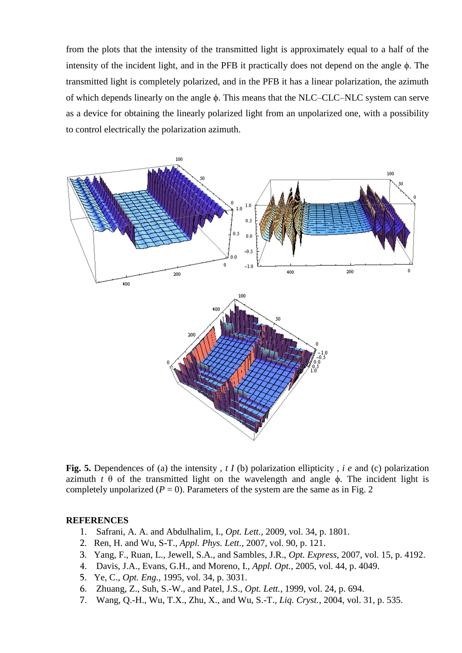from the plots that the intensity of the transmitted light is approximately equal to a half of the intensity of the incident light, and in the PFB it practically does not depend on the angle ϕ. The transmitted light is completely polarized, and in the PFB it has a linear polarization, the azimuth of which depends linearly on the angle ϕ. This means that the NLC–CLC–NLC system can serve as a device for obtaining the linearly polarized light from an unpolarized one, with a possibility to control electrically the polarization azimuth.



**Fig. 5.** Dependences of (a) the intensity , *t I* (b) polarization ellipticity , *i e* and (c) polarization azimuth  $t \theta$  of the transmitted light on the wavelength and angle  $\phi$ . The incident light is completely unpolarized  $(P = 0)$ . Parameters of the system are the same as in Fig. 2

#### **REFERENCES**

- 1. Safrani, A. A. and Abdulhalim, I., *Opt. Lett.*, 2009, vol. 34, p. 1801.
- 2. Ren, H. and Wu, S-T., *Appl. Phys. Lett.*, 2007, vol. 90, p. 121.
- 3. Yang, F., Ruan, L., Jewell, S.A., and Sambles, J.R., *Opt. Express*, 2007, vol. 15, p. 4192.
- 4. Davis, J.A., Evans, G.H., and Moreno, I., *Appl. Opt.*, 2005, vol. 44, p. 4049.
- 5. Ye, C., *Opt. Eng.*, 1995, vol. 34, p. 3031.
- 6. Zhuang, Z., Suh, S.-W., and Patel, J.S., *Opt. Lett.*, 1999, vol. 24, p. 694.
- 7. Wang, Q.-H., Wu, T.X., Zhu, X., and Wu, S.-T., *Liq. Cryst.*, 2004, vol. 31, p. 535.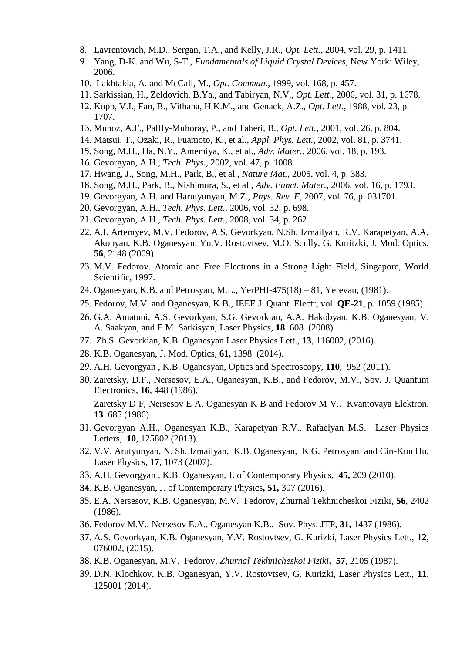- 8. Lavrentovich, M.D., Sergan, T.A., and Kelly, J.R., *Opt. Lett.*, 2004, vol. 29, p. 1411.
- 9. Yang, D-K. and Wu, S-T., *Fundamentals of Liquid Crystal Devices*, New York: Wiley, 2006.
- 10. Lakhtakia, A. and McCall, M., *Opt. Commun.*, 1999, vol. 168, p. 457.
- 11. Sarkissian, H., Zeldovich, B.Ya., and Tabiryan, N.V., *Opt. Lett.*, 2006, vol. 31, p. 1678.
- 12. Kopp, V.I., Fan, B., Vithana, H.K.M., and Genack, A.Z., *Opt. Lett.*, 1988, vol. 23, p. 1707.
- 13. Munoz, A.F., Palffy-Muhoray, P., and Taheri, B., *Opt. Lett.*, 2001, vol. 26, p. 804.
- 14. Matsui, T., Ozaki, R., Fuamoto, K., et al., *Appl. Phys. Lett.*, 2002, vol. 81, p. 3741.
- 15. Song, M.H., Ha, N.Y., Amemiya, K., et al., *Adv. Mater.*, 2006, vol. 18, p. 193.
- 16. Gevorgyan, A.H., *Tech. Phys.*, 2002, vol. 47, p. 1008.
- 17. Hwang, J., Song, M.H., Park, B., et al., *Nature Mat.*, 2005, vol. 4, p. 383.
- 18. Song, M.H., Park, B., Nishimura, S., et al., *Adv. Funct. Mater.*, 2006, vol. 16, p. 1793.
- 19. Gevorgyan, A.H. and Harutyunyan, M.Z., *Phys. Rev. E*, 2007, vol. 76, p. 031701.
- 20. Gevorgyan, А.Н., *Tech. Phys. Lett.*, 2006, vol. 32, p. 698.
- 21. Gevorgyan, А.Н., *Tech. Phys. Lett.*, 2008, vol. 34, p. 262.
- 22. A.I. Artemyev, M.V. Fedorov, A.S. Gevorkyan, N.Sh. Izmailyan, R.V. Karapetyan, A.A. Akopyan, K.B. Oganesyan, Yu.V. Rostovtsev, M.O. Scully, G. Kuritzki, J. Mod. Optics, **56**, 2148 (2009).
- 23. M.V. Fedorov. Atomic and Free Electrons in a Strong Light Field, Singapore, World Scientific, 1997.
- 24. Oganesyan, K.B. and Petrosyan, M.L., YerPHI-475(18) 81, Yerevan, (1981).
- 25. Fedorov, M.V. and Oganesyan, K.B., IEEE J. Quant. Electr, vol. **QE-21**, p. 1059 (1985).
- 26. G.A. Amatuni, A.S. Gevorkyan, S.G. Gevorkian, A.A. Hakobyan, K.B. Oganesyan, V. A. Saakyan, and E.M. Sarkisyan, Laser Physics, **18** 608 (2008).
- 27. Zh.S. Gevorkian, K.B. Oganesyan Laser Physics Lett., **13**, 116002, (2016).
- 28. K.B. Oganesyan, J. Mod. Optics, **61,** 1398 (2014).
- 29. A.H. Gevorgyan , K.B. Oganesyan, Optics and Spectroscopy, **110**, 952 (2011).
- 30. Zaretsky, D.F., Nersesov, E.A., Oganesyan, K.B., and Fedorov, M.V., Sov. J. Quantum Electronics, **16**, 448 (1986). Zaretsky D F, Nersesov E A, Oganesyan K B and Fedorov M V., Kvantovaya Elektron. **13** 685 (1986).
- 31. Gevorgyan A.H., Oganesyan K.B., Karapetyan R.V., Rafaelyan M.S. Laser Physics Letters, **10**, 125802 (2013).
- 32. V.V. Arutyunyan, N. Sh. Izmailyan, K.B. Oganesyan, K.G. Petrosyan and Cin-Kun Hu, Laser Physics, **17**, 1073 (2007).
- 33. A.H. Gevorgyan , K.B. Oganesyan, J. of Contemporary Physics, **45,** 209 (2010).
- 34. K.B. Oganesyan, J. of Contemporary Physics**, 51,** 307 (2016).
- 35. E.A. Nersesov, K.B. Oganesyan, M.V. Fedorov, Zhurnal Tekhnicheskoi Fiziki, **56**, 2402 (1986).
- 36. Fedorov M.V., Nersesov E.A., Oganesyan K.B., Sov. Phys. JTP, **31,** 1437 (1986).
- 37. A.S. Gevorkyan, K.B. Oganesyan, Y.V. Rostovtsev, G. Kurizki, Laser Physics Lett., **12**, 076002, (2015).
- 38. K.B. Oganesyan, M.V. Fedorov, *Zhurnal Tekhnicheskoi Fiziki***, 57**, 2105 (1987).
- 39. D.N. Klochkov, K.B. Oganesyan, Y.V. Rostovtsev, G. Kurizki, Laser Physics Lett., **11**, 125001 (2014).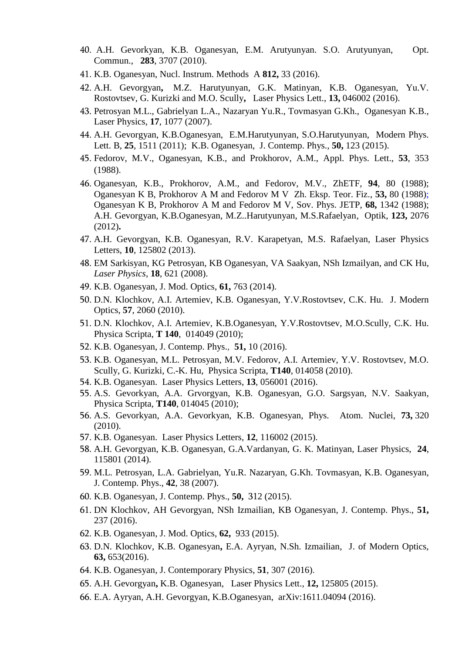- 40. A.H. Gevorkyan, K.B. Oganesyan, E.M. Arutyunyan. S.O. Arutyunyan, Opt. Commun., **283**, 3707 (2010).
- 41. K.B. Oganesyan, Nucl. Instrum. Methods A **812,** 33 (2016).
- 42. A.H. Gevorgyan**,** M.Z. Harutyunyan, G.K. Matinyan, K.B. Oganesyan, Yu.V. Rostovtsev, G. Kurizki and M.O. Scully**,** Laser Physics Lett., **13,** 046002 (2016).
- 43. Petrosyan M.L., Gabrielyan L.A., Nazaryan Yu.R., Tovmasyan G.Kh., Oganesyan K.B., Laser Physics, **17**, 1077 (2007).
- 44. A.H. Gevorgyan, K.B.Oganesyan, E.M.Harutyunyan, S.O.Harutyunyan, Modern Phys. Lett. B, **25**, 1511 (2011); K.B. Oganesyan, J. Contemp. Phys., **50,** 123 (2015).
- 45. Fedorov, M.V., Oganesyan, K.B., and Prokhorov, A.M., Appl. Phys. Lett., **53**, 353 (1988).
- 46. Oganesyan, K.B., Prokhorov, A.M., and Fedorov, M.V., ZhETF, **94**, 80 (1988); Oganesyan K B, Prokhorov A M and Fedorov M V Zh. Eksp. Teor. Fiz., **53,** 80 (1988); Oganesyan K B, Prokhorov A M and Fedorov M V, Sov. Phys. JETP, **68,** 1342 (1988); A.H. Gevorgyan, K.B.Oganesyan, M.Z..Harutyunyan, M.S.Rafaelyan*,* Optik, **123,** 2076 (2012)**.**
- 47. A.H. Gevorgyan, K.B. Oganesyan, R.V. Karapetyan, M.S. Rafaelyan, Laser Physics Letters, **10**, 125802 (2013).
- 48. EM Sarkisyan, KG Petrosyan, KB Oganesyan, VA Saakyan, NSh Izmailyan, and CK Hu, *Laser Physics*, **18**, 621 (2008).
- 49. K.B. Oganesyan, J. Mod. Optics, **61,** 763 (2014).
- 50. D.N. Klochkov, A.I. Artemiev, K.B. Oganesyan, Y.V.Rostovtsev, C.K. Hu. J. Modern Optics, **57**, 2060 (2010).
- 51. D.N. Klochkov, A.I. Artemiev, K.B.Oganesyan, Y.V.Rostovtsev, M.O.Scully, C.K. Hu. Physica Scripta, **T 140**, 014049 (2010);
- 52. K.B. Oganesyan, J. Contemp. Phys., **51,** 10 (2016).
- 53. K.B. Oganesyan, M.L. Petrosyan, M.V. Fedorov, A.I. Artemiev, Y.V. Rostovtsev, M.O. Scully, G. Kurizki, C.-K. Hu, Physica Scripta, **T140**, 014058 (2010).
- 54. K.B. Oganesyan. Laser Physics Letters, **13**, 056001 (2016).
- 55. A.S. Gevorkyan, A.A. Grvorgyan, K.B. Oganesyan, G.O. Sargsyan, N.V. Saakyan, Physica Scripta, **T140**, 014045 (2010);
- 56. A.S. Gevorkyan, A.A. Gevorkyan, K.B. Oganesyan, Phys. Atom. Nuclei, **73,** 320 (2010).
- 57. K.B. Oganesyan. Laser Physics Letters, **12**, 116002 (2015).
- 58. A.H. Gevorgyan, K.B. Oganesyan, G.A.Vardanyan, G. K. Matinyan, Laser Physics, **24**, 115801 (2014).
- 59. M.L. Petrosyan, L.A. Gabrielyan, Yu.R. Nazaryan, G.Kh. Tovmasyan, K.B. Oganesyan, J. Contemp. Phys., **42**, 38 (2007).
- 60. K.B. Oganesyan, J. Contemp. Phys., **50,** 312 (2015).
- 61. DN Klochkov, AH Gevorgyan, NSh Izmailian, KB Oganesyan, J. Contemp. Phys., **51,** 237 (2016).
- 62. K.B. Oganesyan, J. Mod. Optics, **62,** 933 (2015).
- 63. D.N. Klochkov, K.B. Oganesyan**,** E.A. Ayryan, N.Sh. Izmailian, J. of Modern Optics, **63,** 653(2016).
- 64. K.B. Oganesyan, J. Contemporary Physics, **51**, 307 (2016).
- 65. A.H. Gevorgyan**,** K.B. Oganesyan, Laser Physics Lett., **12,** 125805 (2015).
- 66. [E.A. Ayryan,](http://lanl.arxiv.org/find/physics/1/au:+Ayryan_E/0/1/0/all/0/1) [A.H. Gevorgyan,](http://lanl.arxiv.org/find/physics/1/au:+Gevorgyan_A/0/1/0/all/0/1) [K.B.Oganesyan,](http://lanl.arxiv.org/find/physics/1/au:+Oganesyan_K/0/1/0/all/0/1) [arXiv:1611.04094](http://lanl.arxiv.org/abs/1611.04094) (2016).